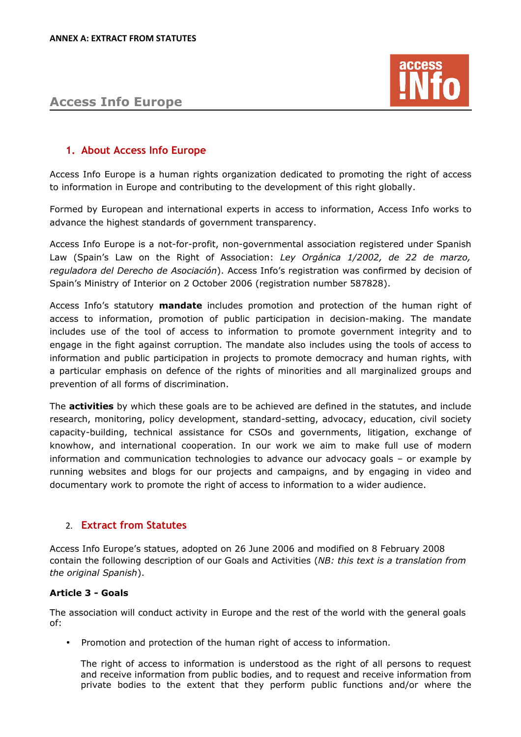# **Access Info Europe**



## **1. About Access Info Europe**

Access Info Europe is a human rights organization dedicated to promoting the right of access to information in Europe and contributing to the development of this right globally.

Formed by European and international experts in access to information, Access Info works to advance the highest standards of government transparency.

Access Info Europe is a not-for-profit, non-governmental association registered under Spanish Law (Spain's Law on the Right of Association: *Ley Orgánica 1/2002, de 22 de marzo, reguladora del Derecho de Asociación*). Access Info's registration was confirmed by decision of Spain's Ministry of Interior on 2 October 2006 (registration number 587828).

Access Info's statutory **mandate** includes promotion and protection of the human right of access to information, promotion of public participation in decision-making. The mandate includes use of the tool of access to information to promote government integrity and to engage in the fight against corruption. The mandate also includes using the tools of access to information and public participation in projects to promote democracy and human rights, with a particular emphasis on defence of the rights of minorities and all marginalized groups and prevention of all forms of discrimination.

The **activities** by which these goals are to be achieved are defined in the statutes, and include research, monitoring, policy development, standard-setting, advocacy, education, civil society capacity-building, technical assistance for CSOs and governments, litigation, exchange of knowhow, and international cooperation. In our work we aim to make full use of modern information and communication technologies to advance our advocacy goals – or example by running websites and blogs for our projects and campaigns, and by engaging in video and documentary work to promote the right of access to information to a wider audience.

### 2. **Extract from Statutes**

Access Info Europe's statues, adopted on 26 June 2006 and modified on 8 February 2008 contain the following description of our Goals and Activities (*NB: this text is a translation from the original Spanish*).

### **Article 3 - Goals**

The association will conduct activity in Europe and the rest of the world with the general goals of:

• Promotion and protection of the human right of access to information.

The right of access to information is understood as the right of all persons to request and receive information from public bodies, and to request and receive information from private bodies to the extent that they perform public functions and/or where the